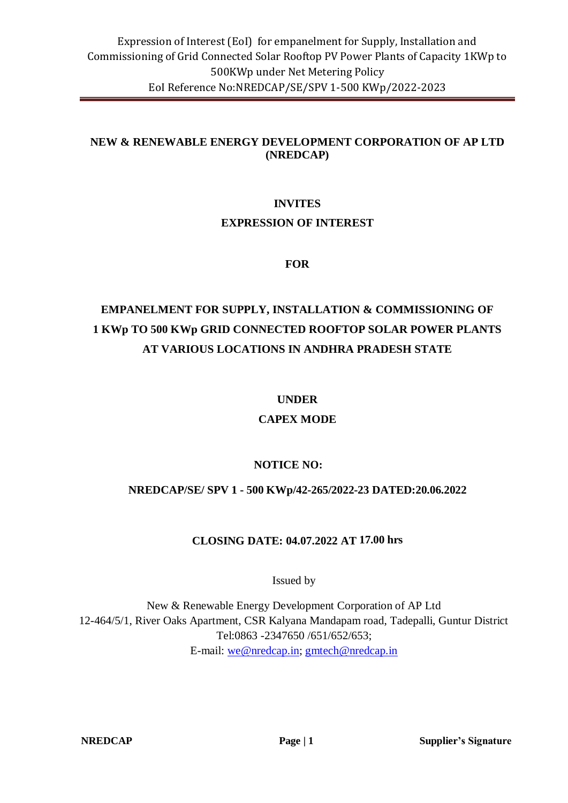### **NEW & RENEWABLE ENERGY DEVELOPMENT CORPORATION OF AP LTD (NREDCAP)**

# **INVITES EXPRESSION OF INTEREST**

#### **FOR**

# **EMPANELMENT FOR SUPPLY, INSTALLATION & COMMISSIONING OF 1 KWp TO 500 KWp GRID CONNECTED ROOFTOP SOLAR POWER PLANTS AT VARIOUS LOCATIONS IN ANDHRA PRADESH STATE**

### **UNDER**

# **CAPEX MODE**

# **NOTICE NO:**

### **NREDCAP/SE/ SPV 1 - 500 KWp/42-265/2022-23 DATED:20.06.2022**

### **CLOSING DATE: 04.07.2022 AT 17.00 hrs**

Issued by

New & Renewable Energy Development Corporation of AP Ltd 12-464/5/1, River Oaks Apartment, CSR Kalyana Mandapam road, Tadepalli, Guntur District Tel:0863 -2347650 /651/652/653; E-mail: [we@nredcap.in;](mailto:we@nredcap.in) [gmtech@nredcap.in](mailto:gmtech@nredcap.in)

**NREDCAP Page | 1 Supplier's Signature**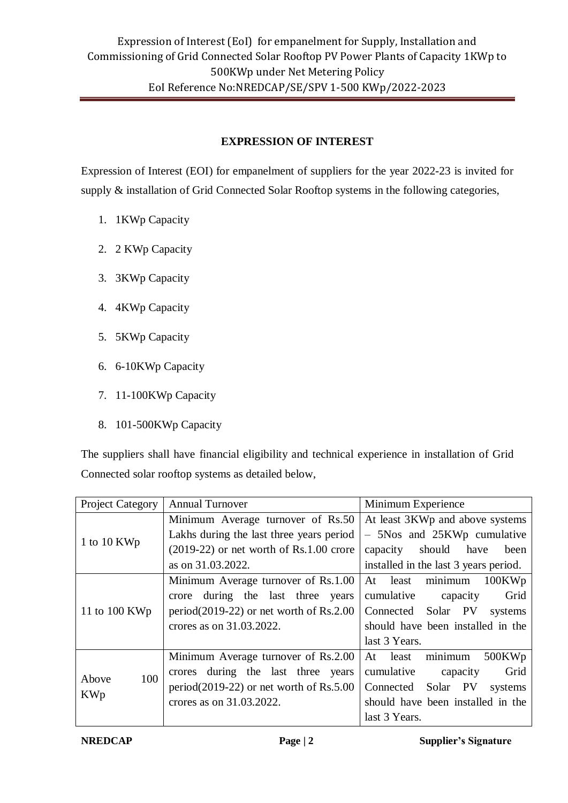## **EXPRESSION OF INTEREST**

Expression of Interest (EOI) for empanelment of suppliers for the year 2022-23 is invited for supply & installation of Grid Connected Solar Rooftop systems in the following categories,

- 1. 1KWp Capacity
- 2. 2 KWp Capacity
- 3. 3KWp Capacity
- 4. 4KWp Capacity
- 5. 5KWp Capacity
- 6. 6-10KWp Capacity
- 7. 11-100KWp Capacity
- 8. 101-500KWp Capacity

The suppliers shall have financial eligibility and technical experience in installation of Grid Connected solar rooftop systems as detailed below,

| Project Category | <b>Annual Turnover</b>                     | Minimum Experience                    |  |  |
|------------------|--------------------------------------------|---------------------------------------|--|--|
|                  | Minimum Average turnover of Rs.50          | At least 3KWp and above systems       |  |  |
|                  | Lakhs during the last three years period   | - 5Nos and 25KWp cumulative           |  |  |
| 1 to 10 KWp      | $(2019-22)$ or net worth of Rs.1.00 crore  | should have<br>capacity<br>been       |  |  |
|                  | as on 31.03.2022.                          | installed in the last 3 years period. |  |  |
|                  | Minimum Average turnover of Rs.1.00        | minimum<br>At least<br>100KWp         |  |  |
|                  | crore during the last three years          | cumulative<br>Grid<br>capacity        |  |  |
| 11 to 100 KWp    | period $(2019-22)$ or net worth of Rs.2.00 | Connected Solar PV<br>systems         |  |  |
|                  | crores as on 31.03.2022.                   | should have been installed in the     |  |  |
|                  |                                            | last 3 Years.                         |  |  |
|                  | Minimum Average turnover of Rs.2.00        | At least minimum<br>500KWp            |  |  |
| 100<br>Above     | during the last three years<br>crores      | Grid<br>cumulative<br>capacity        |  |  |
|                  | period $(2019-22)$ or net worth of Rs.5.00 | Connected Solar PV<br>systems         |  |  |
| <b>KWp</b>       | crores as on 31,03,2022.                   | should have been installed in the     |  |  |
|                  |                                            | last 3 Years.                         |  |  |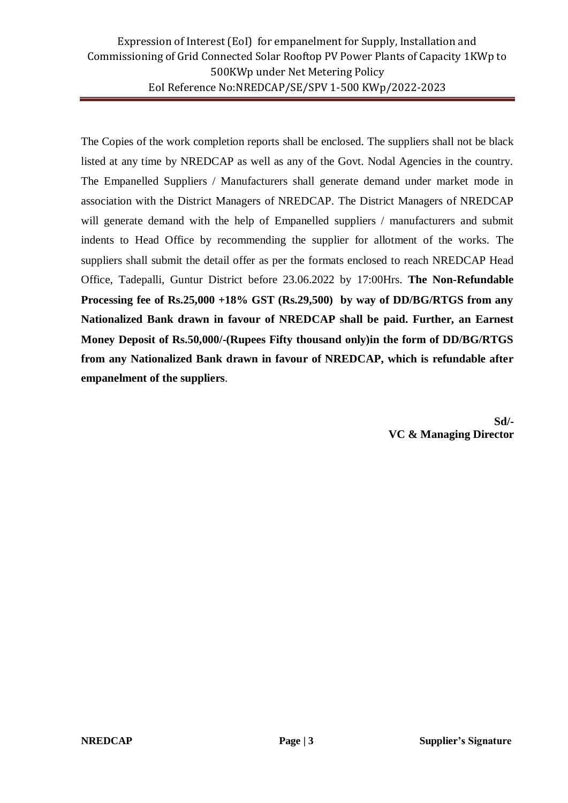The Copies of the work completion reports shall be enclosed. The suppliers shall not be black listed at any time by NREDCAP as well as any of the Govt. Nodal Agencies in the country. The Empanelled Suppliers / Manufacturers shall generate demand under market mode in association with the District Managers of NREDCAP. The District Managers of NREDCAP will generate demand with the help of Empanelled suppliers / manufacturers and submit indents to Head Office by recommending the supplier for allotment of the works. The suppliers shall submit the detail offer as per the formats enclosed to reach NREDCAP Head Office, Tadepalli, Guntur District before 23.06.2022 by 17:00Hrs. **The Non-Refundable Processing fee of Rs.25,000 +18% GST (Rs.29,500) by way of DD/BG/RTGS from any Nationalized Bank drawn in favour of NREDCAP shall be paid. Further, an Earnest Money Deposit of Rs.50,000/-(Rupees Fifty thousand only)in the form of DD/BG/RTGS from any Nationalized Bank drawn in favour of NREDCAP, which is refundable after empanelment of the suppliers**.

> **Sd/- VC & Managing Director**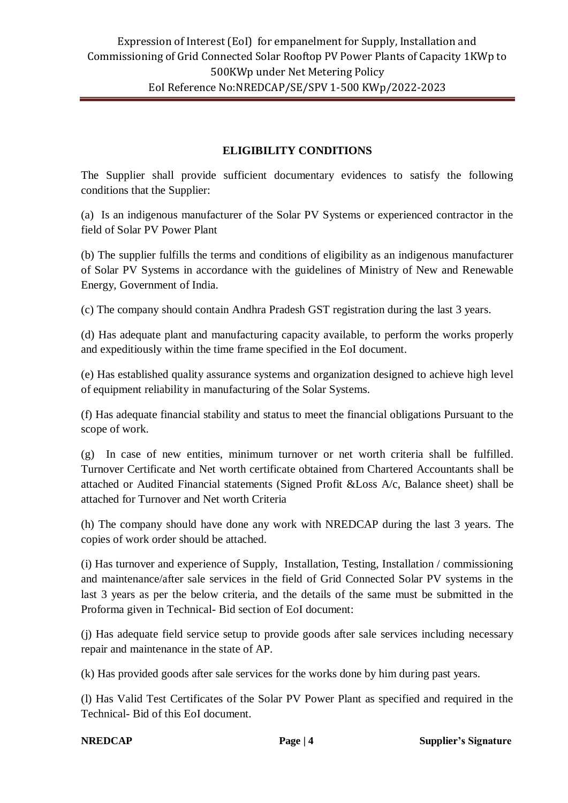### **ELIGIBILITY CONDITIONS**

The Supplier shall provide sufficient documentary evidences to satisfy the following conditions that the Supplier:

(a) Is an indigenous manufacturer of the Solar PV Systems or experienced contractor in the field of Solar PV Power Plant

(b) The supplier fulfills the terms and conditions of eligibility as an indigenous manufacturer of Solar PV Systems in accordance with the guidelines of Ministry of New and Renewable Energy, Government of India.

(c) The company should contain Andhra Pradesh GST registration during the last 3 years.

(d) Has adequate plant and manufacturing capacity available, to perform the works properly and expeditiously within the time frame specified in the EoI document.

(e) Has established quality assurance systems and organization designed to achieve high level of equipment reliability in manufacturing of the Solar Systems.

(f) Has adequate financial stability and status to meet the financial obligations Pursuant to the scope of work.

(g) In case of new entities, minimum turnover or net worth criteria shall be fulfilled. Turnover Certificate and Net worth certificate obtained from Chartered Accountants shall be attached or Audited Financial statements (Signed Profit &Loss A/c, Balance sheet) shall be attached for Turnover and Net worth Criteria

(h) The company should have done any work with NREDCAP during the last 3 years. The copies of work order should be attached.

(i) Has turnover and experience of Supply, Installation, Testing, Installation / commissioning and maintenance/after sale services in the field of Grid Connected Solar PV systems in the last 3 years as per the below criteria, and the details of the same must be submitted in the Proforma given in Technical- Bid section of EoI document:

(j) Has adequate field service setup to provide goods after sale services including necessary repair and maintenance in the state of AP.

(k) Has provided goods after sale services for the works done by him during past years.

(l) Has Valid Test Certificates of the Solar PV Power Plant as specified and required in the Technical- Bid of this EoI document.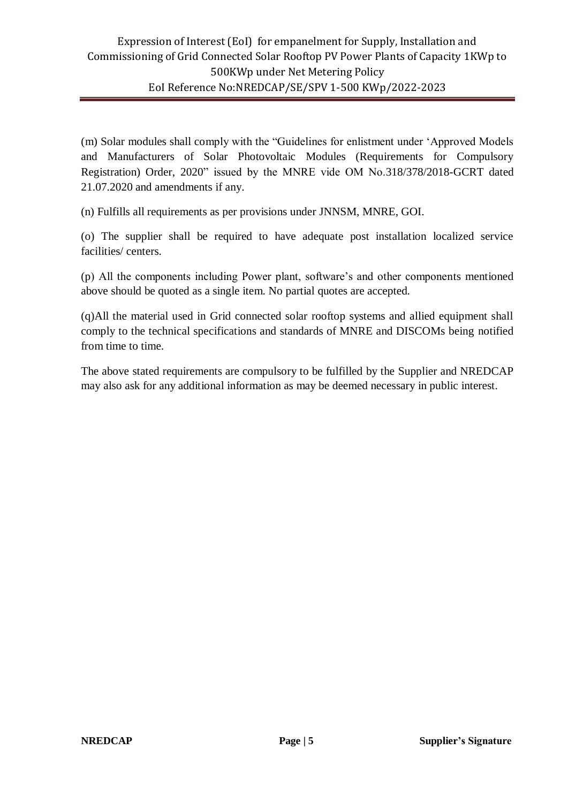(m) Solar modules shall comply with the "Guidelines for enlistment under 'Approved Models and Manufacturers of Solar Photovoltaic Modules (Requirements for Compulsory Registration) Order, 2020" issued by the MNRE vide OM No.318/378/2018-GCRT dated 21.07.2020 and amendments if any.

(n) Fulfills all requirements as per provisions under JNNSM, MNRE, GOI.

(o) The supplier shall be required to have adequate post installation localized service facilities/ centers.

(p) All the components including Power plant, software's and other components mentioned above should be quoted as a single item. No partial quotes are accepted.

(q)All the material used in Grid connected solar rooftop systems and allied equipment shall comply to the technical specifications and standards of MNRE and DISCOMs being notified from time to time.

The above stated requirements are compulsory to be fulfilled by the Supplier and NREDCAP may also ask for any additional information as may be deemed necessary in public interest.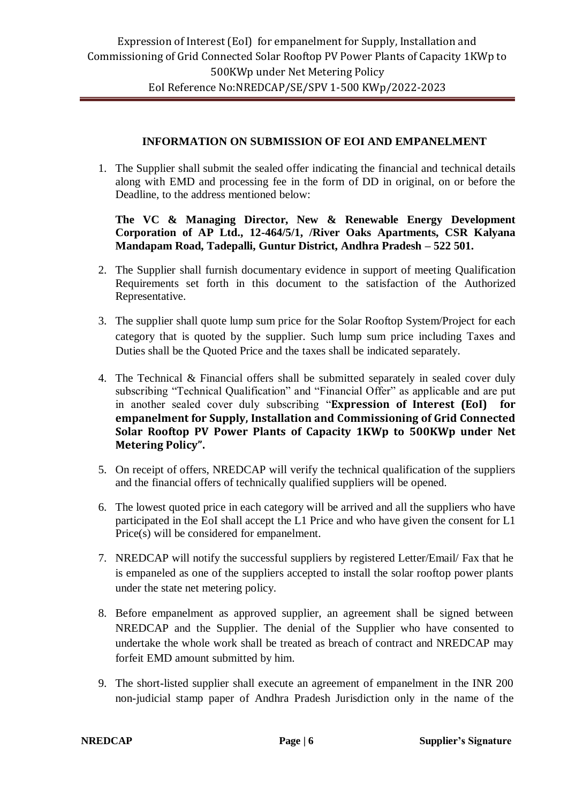#### **INFORMATION ON SUBMISSION OF EOI AND EMPANELMENT**

1. The Supplier shall submit the sealed offer indicating the financial and technical details along with EMD and processing fee in the form of DD in original, on or before the Deadline, to the address mentioned below:

#### **The VC & Managing Director, New & Renewable Energy Development Corporation of AP Ltd., 12-464/5/1, /River Oaks Apartments, CSR Kalyana Mandapam Road, Tadepalli, Guntur District, Andhra Pradesh – 522 501.**

- 2. The Supplier shall furnish documentary evidence in support of meeting Qualification Requirements set forth in this document to the satisfaction of the Authorized Representative.
- 3. The supplier shall quote lump sum price for the Solar Rooftop System/Project for each category that is quoted by the supplier. Such lump sum price including Taxes and Duties shall be the Quoted Price and the taxes shall be indicated separately.
- 4. The Technical & Financial offers shall be submitted separately in sealed cover duly subscribing "Technical Qualification" and "Financial Offer" as applicable and are put in another sealed cover duly subscribing "**Expression of Interest (EoI) for empanelment for Supply, Installation and Commissioning of Grid Connected Solar Rooftop PV Power Plants of Capacity 1KWp to 500KWp under Net Metering Policy".**
- 5. On receipt of offers, NREDCAP will verify the technical qualification of the suppliers and the financial offers of technically qualified suppliers will be opened.
- 6. The lowest quoted price in each category will be arrived and all the suppliers who have participated in the EoI shall accept the L1 Price and who have given the consent for L1 Price(s) will be considered for empanelment.
- 7. NREDCAP will notify the successful suppliers by registered Letter/Email/ Fax that he is empaneled as one of the suppliers accepted to install the solar rooftop power plants under the state net metering policy.
- 8. Before empanelment as approved supplier, an agreement shall be signed between NREDCAP and the Supplier. The denial of the Supplier who have consented to undertake the whole work shall be treated as breach of contract and NREDCAP may forfeit EMD amount submitted by him.
- 9. The short-listed supplier shall execute an agreement of empanelment in the INR 200 non-judicial stamp paper of Andhra Pradesh Jurisdiction only in the name of the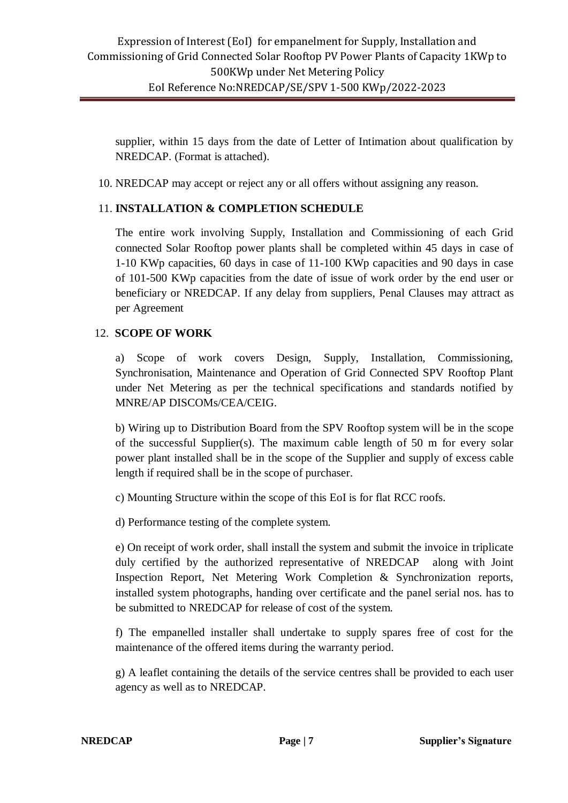supplier, within 15 days from the date of Letter of Intimation about qualification by NREDCAP. (Format is attached).

10. NREDCAP may accept or reject any or all offers without assigning any reason.

#### 11. **INSTALLATION & COMPLETION SCHEDULE**

The entire work involving Supply, Installation and Commissioning of each Grid connected Solar Rooftop power plants shall be completed within 45 days in case of 1-10 KWp capacities, 60 days in case of 11-100 KWp capacities and 90 days in case of 101-500 KWp capacities from the date of issue of work order by the end user or beneficiary or NREDCAP. If any delay from suppliers, Penal Clauses may attract as per Agreement

#### 12. **SCOPE OF WORK**

a) Scope of work covers Design, Supply, Installation, Commissioning, Synchronisation, Maintenance and Operation of Grid Connected SPV Rooftop Plant under Net Metering as per the technical specifications and standards notified by MNRE/AP DISCOMs/CEA/CEIG.

b) Wiring up to Distribution Board from the SPV Rooftop system will be in the scope of the successful Supplier(s). The maximum cable length of 50 m for every solar power plant installed shall be in the scope of the Supplier and supply of excess cable length if required shall be in the scope of purchaser.

c) Mounting Structure within the scope of this EoI is for flat RCC roofs.

d) Performance testing of the complete system.

e) On receipt of work order, shall install the system and submit the invoice in triplicate duly certified by the authorized representative of NREDCAP along with Joint Inspection Report, Net Metering Work Completion & Synchronization reports, installed system photographs, handing over certificate and the panel serial nos. has to be submitted to NREDCAP for release of cost of the system.

f) The empanelled installer shall undertake to supply spares free of cost for the maintenance of the offered items during the warranty period.

g) A leaflet containing the details of the service centres shall be provided to each user agency as well as to NREDCAP.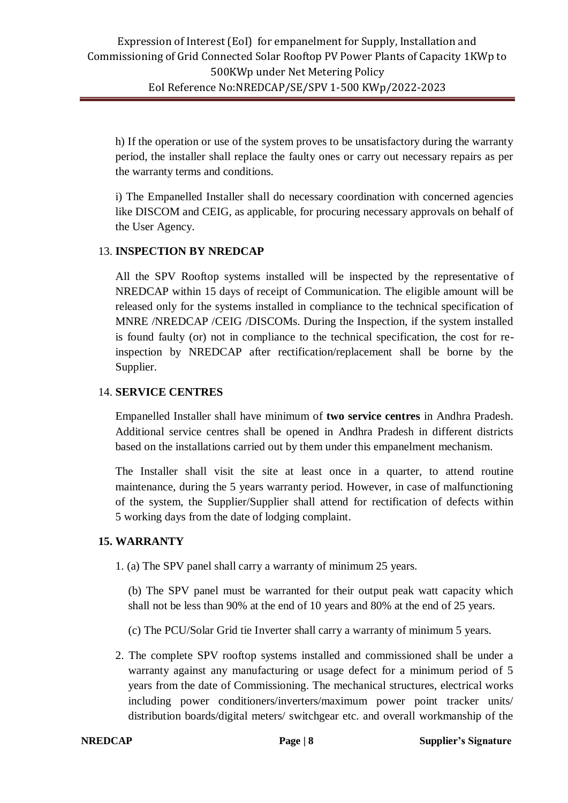h) If the operation or use of the system proves to be unsatisfactory during the warranty period, the installer shall replace the faulty ones or carry out necessary repairs as per the warranty terms and conditions.

i) The Empanelled Installer shall do necessary coordination with concerned agencies like DISCOM and CEIG, as applicable, for procuring necessary approvals on behalf of the User Agency.

#### 13. **INSPECTION BY NREDCAP**

All the SPV Rooftop systems installed will be inspected by the representative of NREDCAP within 15 days of receipt of Communication. The eligible amount will be released only for the systems installed in compliance to the technical specification of MNRE /NREDCAP /CEIG /DISCOMs. During the Inspection, if the system installed is found faulty (or) not in compliance to the technical specification, the cost for reinspection by NREDCAP after rectification/replacement shall be borne by the Supplier.

#### 14. **SERVICE CENTRES**

Empanelled Installer shall have minimum of **two service centres** in Andhra Pradesh. Additional service centres shall be opened in Andhra Pradesh in different districts based on the installations carried out by them under this empanelment mechanism.

The Installer shall visit the site at least once in a quarter, to attend routine maintenance, during the 5 years warranty period. However, in case of malfunctioning of the system, the Supplier/Supplier shall attend for rectification of defects within 5 working days from the date of lodging complaint.

#### **15. WARRANTY**

1. (a) The SPV panel shall carry a warranty of minimum 25 years.

(b) The SPV panel must be warranted for their output peak watt capacity which shall not be less than 90% at the end of 10 years and 80% at the end of 25 years.

- (c) The PCU/Solar Grid tie Inverter shall carry a warranty of minimum 5 years.
- 2. The complete SPV rooftop systems installed and commissioned shall be under a warranty against any manufacturing or usage defect for a minimum period of 5 years from the date of Commissioning. The mechanical structures, electrical works including power conditioners/inverters/maximum power point tracker units/ distribution boards/digital meters/ switchgear etc. and overall workmanship of the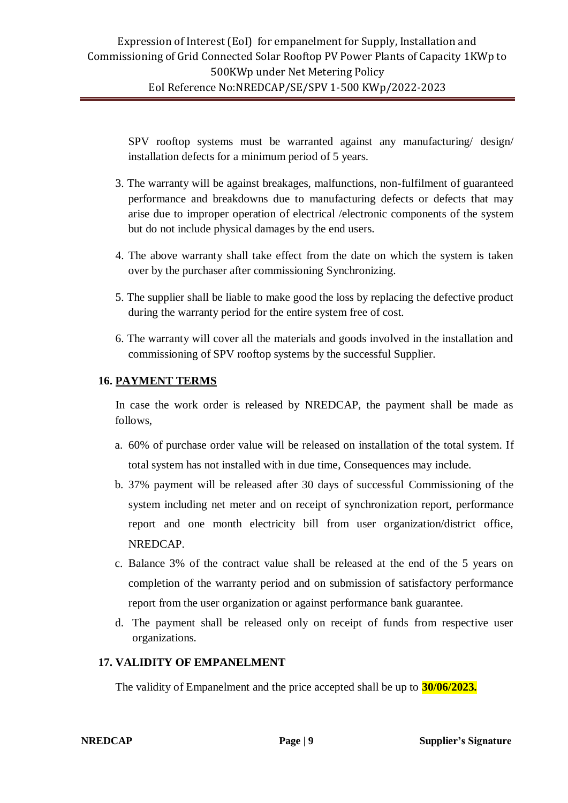SPV rooftop systems must be warranted against any manufacturing/ design/ installation defects for a minimum period of 5 years.

- 3. The warranty will be against breakages, malfunctions, non-fulfilment of guaranteed performance and breakdowns due to manufacturing defects or defects that may arise due to improper operation of electrical /electronic components of the system but do not include physical damages by the end users.
- 4. The above warranty shall take effect from the date on which the system is taken over by the purchaser after commissioning Synchronizing.
- 5. The supplier shall be liable to make good the loss by replacing the defective product during the warranty period for the entire system free of cost.
- 6. The warranty will cover all the materials and goods involved in the installation and commissioning of SPV rooftop systems by the successful Supplier.

#### **16. PAYMENT TERMS**

In case the work order is released by NREDCAP, the payment shall be made as follows,

- a. 60% of purchase order value will be released on installation of the total system. If total system has not installed with in due time, Consequences may include.
- b. 37% payment will be released after 30 days of successful Commissioning of the system including net meter and on receipt of synchronization report, performance report and one month electricity bill from user organization/district office, NREDCAP.
- c. Balance 3% of the contract value shall be released at the end of the 5 years on completion of the warranty period and on submission of satisfactory performance report from the user organization or against performance bank guarantee.
- d. The payment shall be released only on receipt of funds from respective user organizations.

#### **17. VALIDITY OF EMPANELMENT**

The validity of Empanelment and the price accepted shall be up to **30/06/2023.**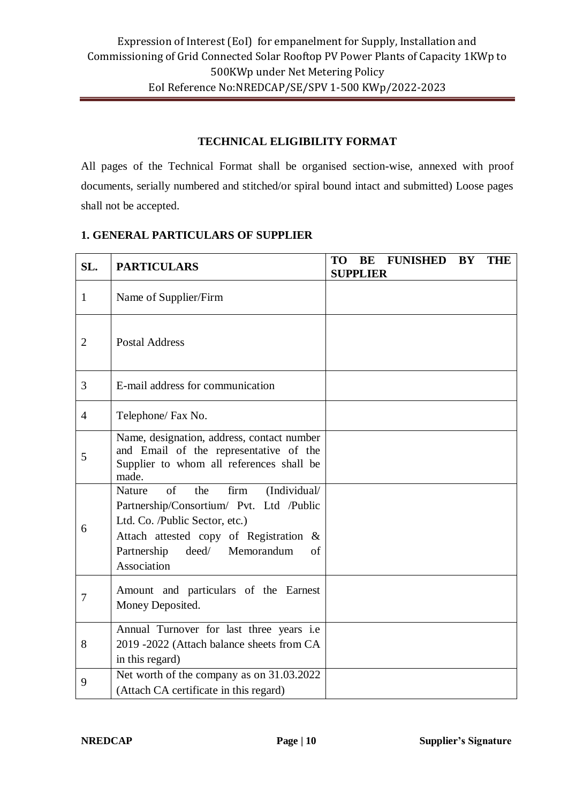#### **TECHNICAL ELIGIBILITY FORMAT**

All pages of the Technical Format shall be organised section-wise, annexed with proof documents, serially numbered and stitched/or spiral bound intact and submitted) Loose pages shall not be accepted.

#### **1. GENERAL PARTICULARS OF SUPPLIER**

| SL.            | <b>PARTICULARS</b>                                                                                                                                                                                                                     | <b>TO</b> | BE<br><b>SUPPLIER</b> | <b>FUNISHED</b> | <b>BY</b> | <b>THE</b> |
|----------------|----------------------------------------------------------------------------------------------------------------------------------------------------------------------------------------------------------------------------------------|-----------|-----------------------|-----------------|-----------|------------|
| $\mathbf{1}$   | Name of Supplier/Firm                                                                                                                                                                                                                  |           |                       |                 |           |            |
| $\overline{2}$ | <b>Postal Address</b>                                                                                                                                                                                                                  |           |                       |                 |           |            |
| 3              | E-mail address for communication                                                                                                                                                                                                       |           |                       |                 |           |            |
| $\overline{4}$ | Telephone/ Fax No.                                                                                                                                                                                                                     |           |                       |                 |           |            |
| 5              | Name, designation, address, contact number<br>and Email of the representative of the<br>Supplier to whom all references shall be<br>made.                                                                                              |           |                       |                 |           |            |
| 6              | $\sigma$ f<br>firm<br>the<br>(Individual/<br>Nature<br>Partnership/Consortium/ Pvt. Ltd /Public<br>Ltd. Co. /Public Sector, etc.)<br>Attach attested copy of Registration &<br>Partnership<br>deed/<br>Memorandum<br>of<br>Association |           |                       |                 |           |            |
| 7              | Amount and particulars of the Earnest<br>Money Deposited.                                                                                                                                                                              |           |                       |                 |           |            |
| 8              | Annual Turnover for last three years i.e<br>2019 -2022 (Attach balance sheets from CA<br>in this regard)                                                                                                                               |           |                       |                 |           |            |
| 9              | Net worth of the company as on 31.03.2022<br>(Attach CA certificate in this regard)                                                                                                                                                    |           |                       |                 |           |            |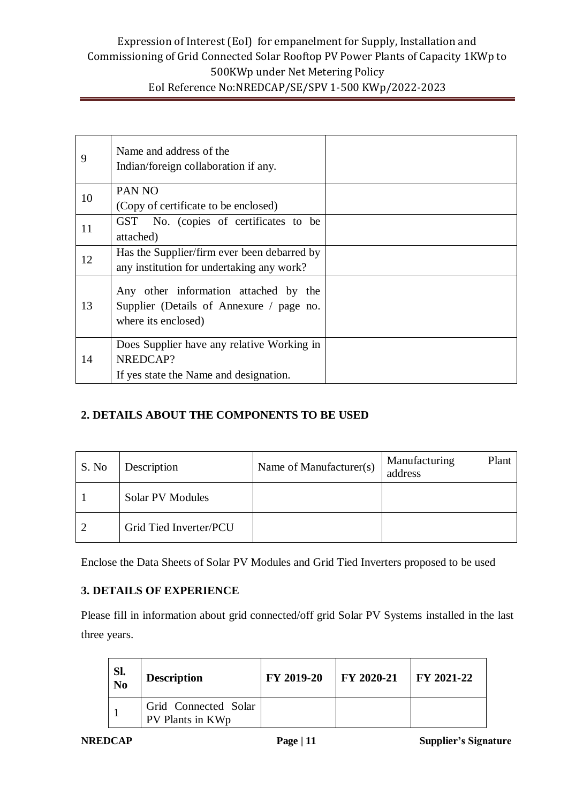| 9  | Name and address of the<br>Indian/foreign collaboration if any.                                          |  |
|----|----------------------------------------------------------------------------------------------------------|--|
| 10 | PAN <sub>NO</sub><br>(Copy of certificate to be enclosed)                                                |  |
| 11 | GST No. (copies of certificates to be<br>attached)                                                       |  |
| 12 | Has the Supplier/firm ever been debarred by<br>any institution for undertaking any work?                 |  |
| 13 | Any other information attached by the<br>Supplier (Details of Annexure / page no.<br>where its enclosed) |  |
| 14 | Does Supplier have any relative Working in<br>NREDCAP?<br>If yes state the Name and designation.         |  |

# **2. DETAILS ABOUT THE COMPONENTS TO BE USED**

| S. No | Description            | Name of Manufacturer(s) | Manufacturing<br>Plant<br>address |
|-------|------------------------|-------------------------|-----------------------------------|
|       | Solar PV Modules       |                         |                                   |
|       | Grid Tied Inverter/PCU |                         |                                   |

Enclose the Data Sheets of Solar PV Modules and Grid Tied Inverters proposed to be used

#### **3. DETAILS OF EXPERIENCE**

Please fill in information about grid connected/off grid Solar PV Systems installed in the last three years.

| Sl.<br>No | <b>Description</b>                       | FY 2019-20 | $\mid$ FY 2020-21 | $\textsf{FY } 2021-22$ |
|-----------|------------------------------------------|------------|-------------------|------------------------|
|           | Grid Connected Solar<br>PV Plants in KWp |            |                   |                        |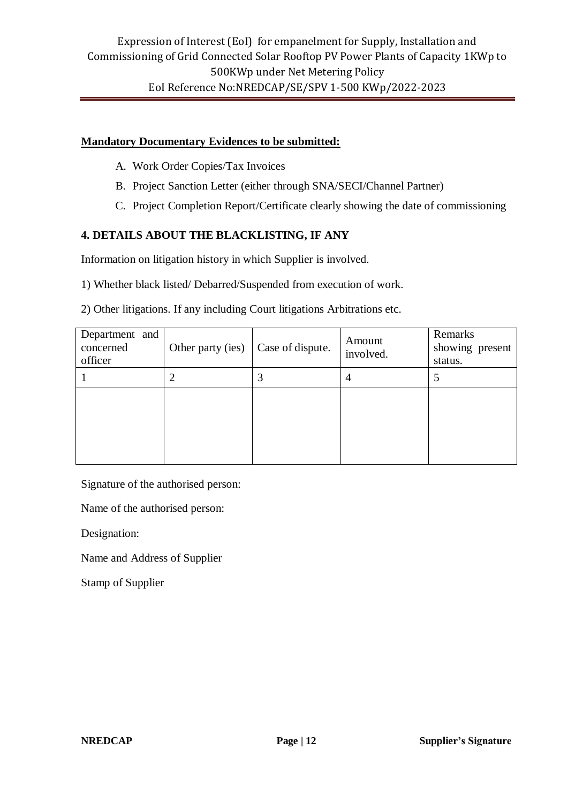#### **Mandatory Documentary Evidences to be submitted:**

- A. Work Order Copies/Tax Invoices
- B. Project Sanction Letter (either through SNA/SECI/Channel Partner)
- C. Project Completion Report/Certificate clearly showing the date of commissioning

### **4. DETAILS ABOUT THE BLACKLISTING, IF ANY**

Information on litigation history in which Supplier is involved.

1) Whether black listed/ Debarred/Suspended from execution of work.

2) Other litigations. If any including Court litigations Arbitrations etc.

| Department and<br>concerned<br>officer | Other party (ies) | Case of dispute. | Amount<br>involved. | Remarks<br>showing present<br>status. |
|----------------------------------------|-------------------|------------------|---------------------|---------------------------------------|
|                                        |                   |                  | 4                   |                                       |
|                                        |                   |                  |                     |                                       |
|                                        |                   |                  |                     |                                       |
|                                        |                   |                  |                     |                                       |

Signature of the authorised person:

Name of the authorised person:

Designation:

Name and Address of Supplier

Stamp of Supplier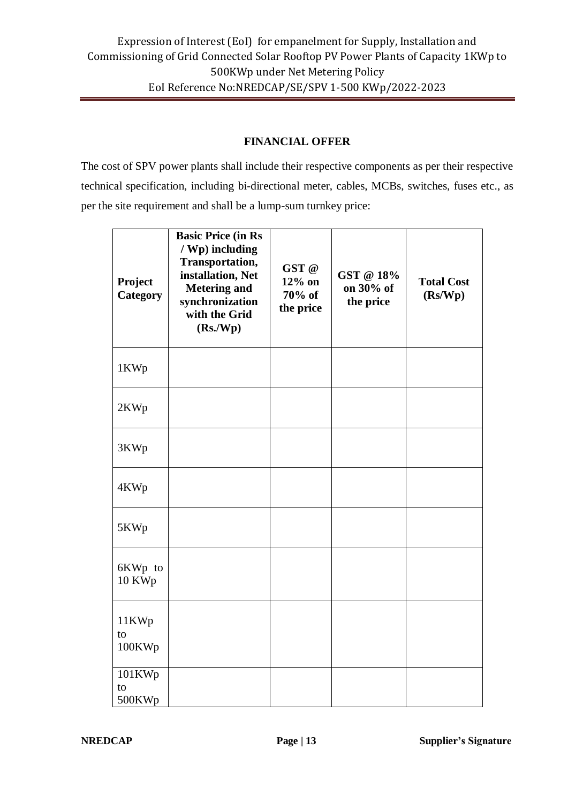#### **FINANCIAL OFFER**

The cost of SPV power plants shall include their respective components as per their respective technical specification, including bi-directional meter, cables, MCBs, switches, fuses etc., as per the site requirement and shall be a lump-sum turnkey price:

| Project<br><b>Category</b> | <b>Basic Price (in Rs</b><br>/ Wp) including<br>Transportation,<br>installation, Net<br><b>Metering and</b><br>synchronization<br>with the Grid<br>(Rs/Wp) | GST @<br>$12\%$ on<br>70% of<br>the price | GST @ 18%<br>on 30% of<br>the price | <b>Total Cost</b><br>(Rs/Wp) |
|----------------------------|------------------------------------------------------------------------------------------------------------------------------------------------------------|-------------------------------------------|-------------------------------------|------------------------------|
| 1KWp                       |                                                                                                                                                            |                                           |                                     |                              |
| 2KWp                       |                                                                                                                                                            |                                           |                                     |                              |
| 3KWp                       |                                                                                                                                                            |                                           |                                     |                              |
| 4KWp                       |                                                                                                                                                            |                                           |                                     |                              |
| 5KWp                       |                                                                                                                                                            |                                           |                                     |                              |
| 6KWp to<br>10 KWp          |                                                                                                                                                            |                                           |                                     |                              |
| 11KWp<br>to<br>100KWp      |                                                                                                                                                            |                                           |                                     |                              |
| 101KWp<br>to<br>500KWp     |                                                                                                                                                            |                                           |                                     |                              |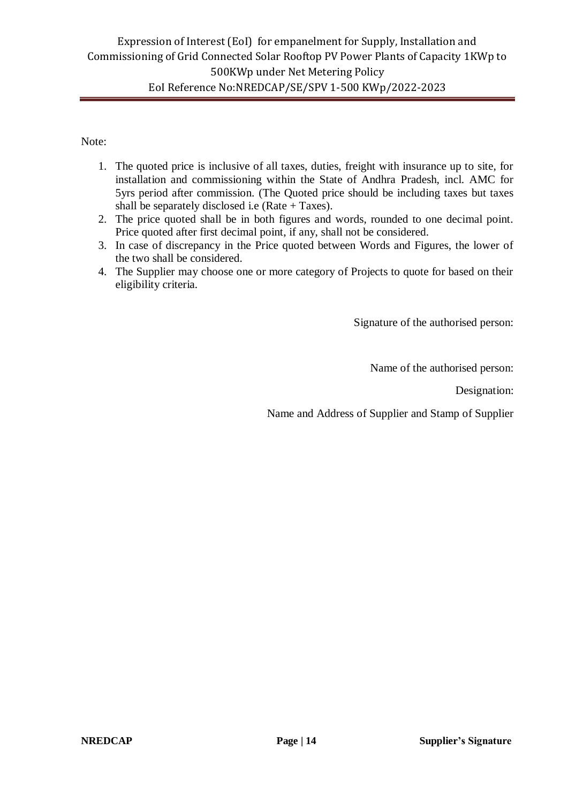Note:

- 1. The quoted price is inclusive of all taxes, duties, freight with insurance up to site, for installation and commissioning within the State of Andhra Pradesh, incl. AMC for 5yrs period after commission. (The Quoted price should be including taxes but taxes shall be separately disclosed i.e (Rate  $+$  Taxes).
- 2. The price quoted shall be in both figures and words, rounded to one decimal point. Price quoted after first decimal point, if any, shall not be considered.
- 3. In case of discrepancy in the Price quoted between Words and Figures, the lower of the two shall be considered.
- 4. The Supplier may choose one or more category of Projects to quote for based on their eligibility criteria.

Signature of the authorised person:

Name of the authorised person:

Designation:

Name and Address of Supplier and Stamp of Supplier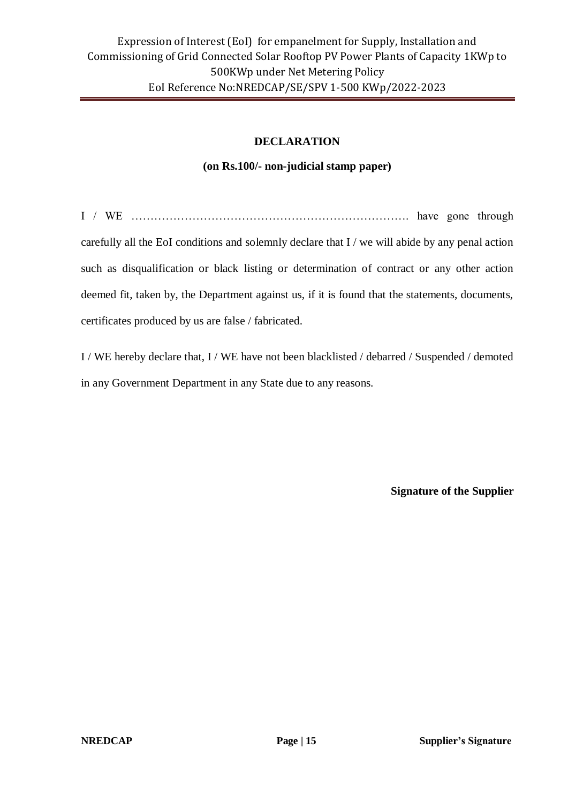#### **DECLARATION**

#### **(on Rs.100/- non-judicial stamp paper)**

I / WE ………………………………………………………………. have gone through carefully all the EoI conditions and solemnly declare that I / we will abide by any penal action such as disqualification or black listing or determination of contract or any other action deemed fit, taken by, the Department against us, if it is found that the statements, documents, certificates produced by us are false / fabricated.

I / WE hereby declare that, I / WE have not been blacklisted / debarred / Suspended / demoted in any Government Department in any State due to any reasons.

**Signature of the Supplier**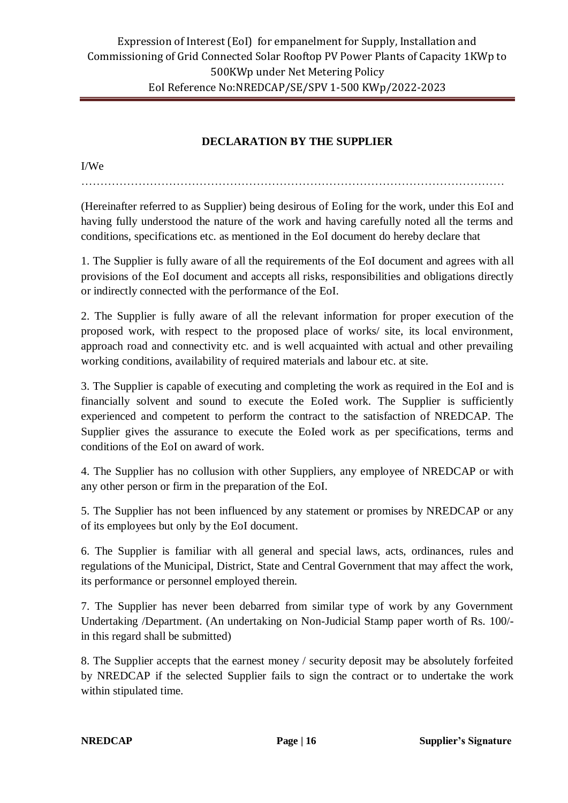# **DECLARATION BY THE SUPPLIER**

…………………………………………………………………………………………………

I/We

(Hereinafter referred to as Supplier) being desirous of EoIing for the work, under this EoI and having fully understood the nature of the work and having carefully noted all the terms and conditions, specifications etc. as mentioned in the EoI document do hereby declare that

1. The Supplier is fully aware of all the requirements of the EoI document and agrees with all provisions of the EoI document and accepts all risks, responsibilities and obligations directly or indirectly connected with the performance of the EoI.

2. The Supplier is fully aware of all the relevant information for proper execution of the proposed work, with respect to the proposed place of works/ site, its local environment, approach road and connectivity etc. and is well acquainted with actual and other prevailing working conditions, availability of required materials and labour etc. at site.

3. The Supplier is capable of executing and completing the work as required in the EoI and is financially solvent and sound to execute the EoIed work. The Supplier is sufficiently experienced and competent to perform the contract to the satisfaction of NREDCAP. The Supplier gives the assurance to execute the EoIed work as per specifications, terms and conditions of the EoI on award of work.

4. The Supplier has no collusion with other Suppliers, any employee of NREDCAP or with any other person or firm in the preparation of the EoI.

5. The Supplier has not been influenced by any statement or promises by NREDCAP or any of its employees but only by the EoI document.

6. The Supplier is familiar with all general and special laws, acts, ordinances, rules and regulations of the Municipal, District, State and Central Government that may affect the work, its performance or personnel employed therein.

7. The Supplier has never been debarred from similar type of work by any Government Undertaking /Department. (An undertaking on Non-Judicial Stamp paper worth of Rs. 100/ in this regard shall be submitted)

8. The Supplier accepts that the earnest money / security deposit may be absolutely forfeited by NREDCAP if the selected Supplier fails to sign the contract or to undertake the work within stipulated time.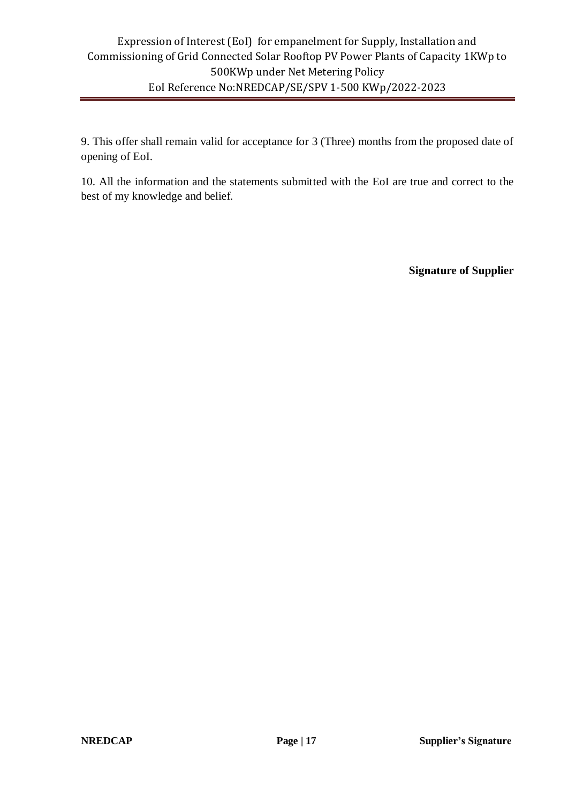9. This offer shall remain valid for acceptance for 3 (Three) months from the proposed date of opening of EoI.

10. All the information and the statements submitted with the EoI are true and correct to the best of my knowledge and belief.

**Signature of Supplier**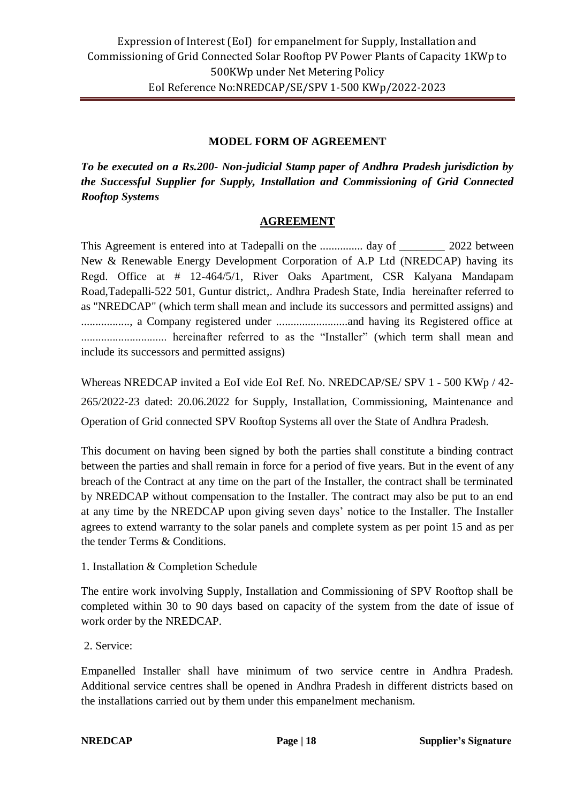#### **MODEL FORM OF AGREEMENT**

*To be executed on a Rs.200- Non-judicial Stamp paper of Andhra Pradesh jurisdiction by the Successful Supplier for Supply, Installation and Commissioning of Grid Connected Rooftop Systems* 

#### **AGREEMENT**

This Agreement is entered into at Tadepalli on the ................. day of 2022 between New & Renewable Energy Development Corporation of A.P Ltd (NREDCAP) having its Regd. Office at # 12-464/5/1, River Oaks Apartment, CSR Kalyana Mandapam Road,Tadepalli-522 501, Guntur district,. Andhra Pradesh State, India hereinafter referred to as "NREDCAP" (which term shall mean and include its successors and permitted assigns) and ................., a Company registered under .........................and having its Registered office at .............................. hereinafter referred to as the "Installer" (which term shall mean and include its successors and permitted assigns)

Whereas NREDCAP invited a EoI vide EoI Ref. No. NREDCAP/SE/ SPV 1 - 500 KWp / 42- 265/2022-23 dated: 20.06.2022 for Supply, Installation, Commissioning, Maintenance and Operation of Grid connected SPV Rooftop Systems all over the State of Andhra Pradesh.

This document on having been signed by both the parties shall constitute a binding contract between the parties and shall remain in force for a period of five years. But in the event of any breach of the Contract at any time on the part of the Installer, the contract shall be terminated by NREDCAP without compensation to the Installer. The contract may also be put to an end at any time by the NREDCAP upon giving seven days' notice to the Installer. The Installer agrees to extend warranty to the solar panels and complete system as per point 15 and as per the tender Terms & Conditions.

1. Installation & Completion Schedule

The entire work involving Supply, Installation and Commissioning of SPV Rooftop shall be completed within 30 to 90 days based on capacity of the system from the date of issue of work order by the NREDCAP.

2. Service:

Empanelled Installer shall have minimum of two service centre in Andhra Pradesh. Additional service centres shall be opened in Andhra Pradesh in different districts based on the installations carried out by them under this empanelment mechanism.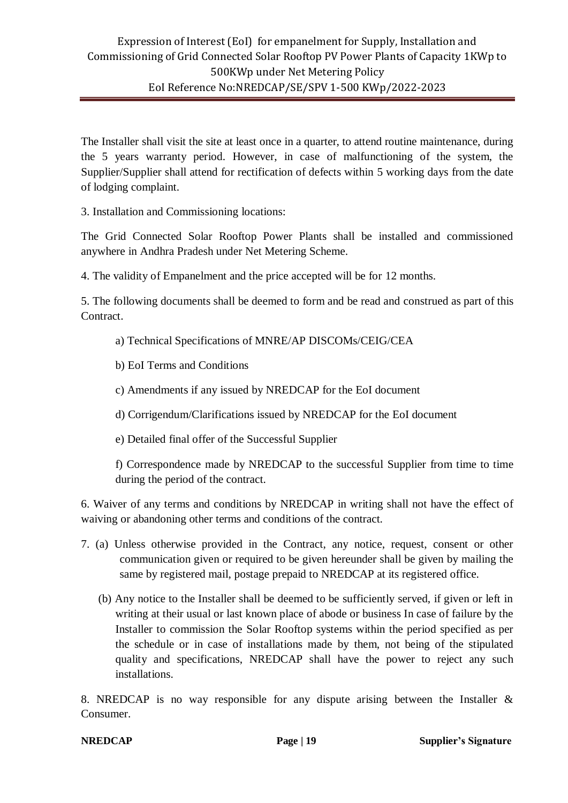The Installer shall visit the site at least once in a quarter, to attend routine maintenance, during the 5 years warranty period. However, in case of malfunctioning of the system, the Supplier/Supplier shall attend for rectification of defects within 5 working days from the date of lodging complaint.

3. Installation and Commissioning locations:

The Grid Connected Solar Rooftop Power Plants shall be installed and commissioned anywhere in Andhra Pradesh under Net Metering Scheme.

4. The validity of Empanelment and the price accepted will be for 12 months.

5. The following documents shall be deemed to form and be read and construed as part of this Contract.

- a) Technical Specifications of MNRE/AP DISCOMs/CEIG/CEA
- b) EoI Terms and Conditions
- c) Amendments if any issued by NREDCAP for the EoI document
- d) Corrigendum/Clarifications issued by NREDCAP for the EoI document
- e) Detailed final offer of the Successful Supplier

f) Correspondence made by NREDCAP to the successful Supplier from time to time during the period of the contract.

6. Waiver of any terms and conditions by NREDCAP in writing shall not have the effect of waiving or abandoning other terms and conditions of the contract.

- 7. (a) Unless otherwise provided in the Contract, any notice, request, consent or other communication given or required to be given hereunder shall be given by mailing the same by registered mail, postage prepaid to NREDCAP at its registered office.
	- (b) Any notice to the Installer shall be deemed to be sufficiently served, if given or left in writing at their usual or last known place of abode or business In case of failure by the Installer to commission the Solar Rooftop systems within the period specified as per the schedule or in case of installations made by them, not being of the stipulated quality and specifications, NREDCAP shall have the power to reject any such installations.

8. NREDCAP is no way responsible for any dispute arising between the Installer & Consumer.